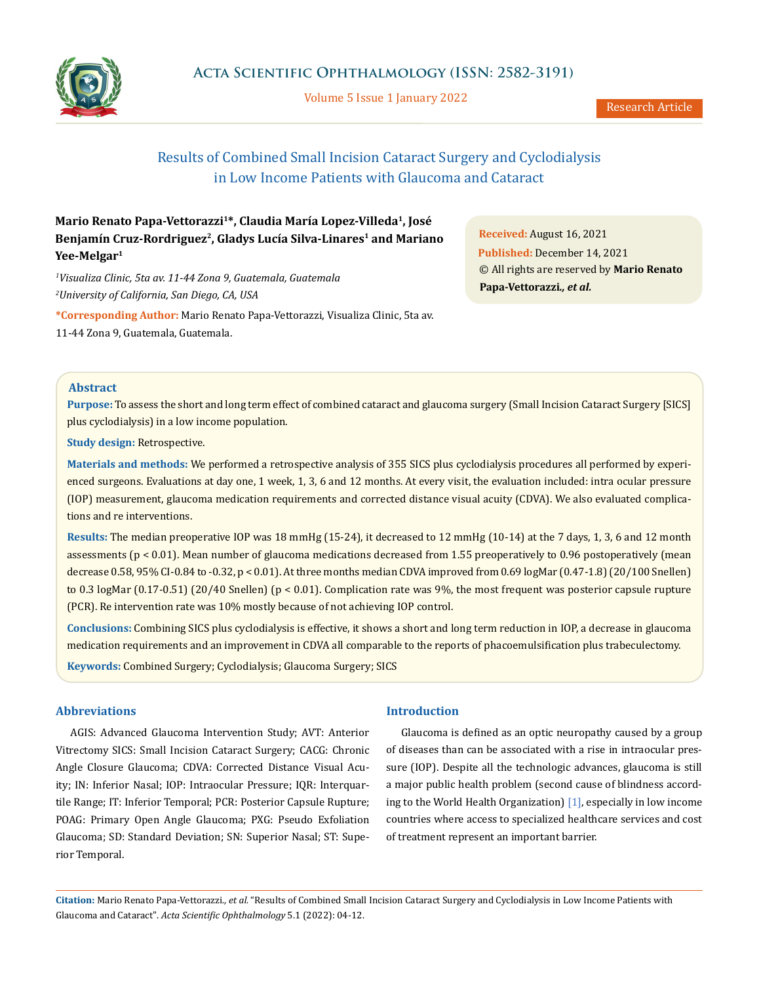

Volume 5 Issue 1 January 2022

# Results of Combined Small Incision Cataract Surgery and Cyclodialysis in Low Income Patients with Glaucoma and Cataract

**Mario Renato Papa-Vettorazzi1\*, Claudia María Lopez-Villeda1, José**  Benjamín Cruz-Rordriguez<sup>2</sup>, Gladys Lucía Silva-Linares<sup>1</sup> and Mariano **Yee-Melgar1**

*1 Visualiza Clinic, 5ta av. 11-44 Zona 9, Guatemala, Guatemala 2 University of California, San Diego, CA, USA*

**\*Corresponding Author:** Mario Renato Papa-Vettorazzi, Visualiza Clinic, 5ta av. 11-44 Zona 9, Guatemala, Guatemala.

**Received:** August 16, 2021 **Published:** December 14, 2021 © All rights are reserved by **Mario Renato Papa-Vettorazzi***., et al.*

## **Abstract**

**Purpose:** To assess the short and long term effect of combined cataract and glaucoma surgery (Small Incision Cataract Surgery [SICS] plus cyclodialysis) in a low income population.

**Study design:** Retrospective.

**Materials and methods:** We performed a retrospective analysis of 355 SICS plus cyclodialysis procedures all performed by experienced surgeons. Evaluations at day one, 1 week, 1, 3, 6 and 12 months. At every visit, the evaluation included: intra ocular pressure (IOP) measurement, glaucoma medication requirements and corrected distance visual acuity (CDVA). We also evaluated complications and re interventions.

**Results:** The median preoperative IOP was 18 mmHg (15-24), it decreased to 12 mmHg (10-14) at the 7 days, 1, 3, 6 and 12 month assessments (p < 0.01). Mean number of glaucoma medications decreased from 1.55 preoperatively to 0.96 postoperatively (mean decrease 0.58, 95% CI-0.84 to -0.32, p < 0.01). At three months median CDVA improved from 0.69 logMar (0.47-1.8) (20/100 Snellen) to 0.3 logMar (0.17-0.51) (20/40 Snellen) (p < 0.01). Complication rate was 9%, the most frequent was posterior capsule rupture (PCR). Re intervention rate was 10% mostly because of not achieving IOP control.

**Conclusions:** Combining SICS plus cyclodialysis is effective, it shows a short and long term reduction in IOP, a decrease in glaucoma medication requirements and an improvement in CDVA all comparable to the reports of phacoemulsification plus trabeculectomy.

**Keywords:** Combined Surgery; Cyclodialysis; Glaucoma Surgery; SICS

## **Abbreviations**

AGIS: Advanced Glaucoma Intervention Study; AVT: Anterior Vitrectomy SICS: Small Incision Cataract Surgery; CACG: Chronic Angle Closure Glaucoma; CDVA: Corrected Distance Visual Acuity; IN: Inferior Nasal; IOP: Intraocular Pressure; IQR: Interquartile Range; IT: Inferior Temporal; PCR: Posterior Capsule Rupture; POAG: Primary Open Angle Glaucoma; PXG: Pseudo Exfoliation Glaucoma; SD: Standard Deviation; SN: Superior Nasal; ST: Superior Temporal.

## **Introduction**

Glaucoma is defined as an optic neuropathy caused by a group of diseases than can be associated with a rise in intraocular pressure (IOP). Despite all the technologic advances, glaucoma is still a major public health problem (second cause of blindness according to the World Health Organization) [1], especially in low income countries where access to specialized healthcare services and cost of treatment represent an important barrier.

**Citation:** Mario Renato Papa-Vettorazzi*., et al.* "Results of Combined Small Incision Cataract Surgery and Cyclodialysis in Low Income Patients with Glaucoma and Cataract". *Acta Scientific Ophthalmology* 5.1 (2022): 04-12.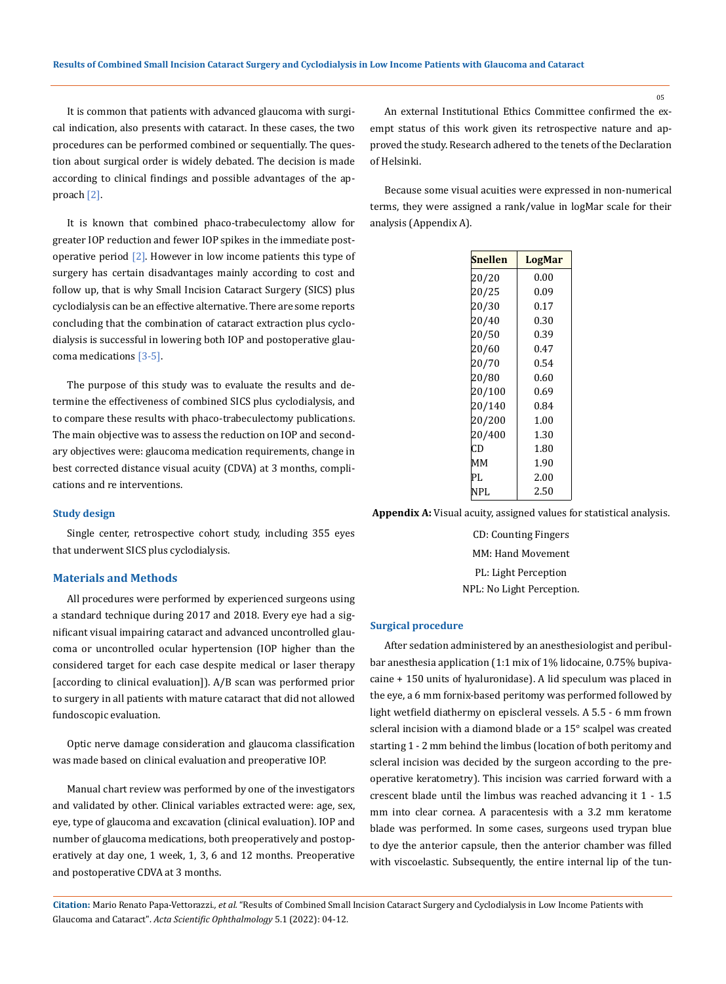It is common that patients with advanced glaucoma with surgical indication, also presents with cataract. In these cases, the two procedures can be performed combined or sequentially. The question about surgical order is widely debated. The decision is made according to clinical findings and possible advantages of the approach [2].

It is known that combined phaco-trabeculectomy allow for greater IOP reduction and fewer IOP spikes in the immediate postoperative period  $[2]$ . However in low income patients this type of surgery has certain disadvantages mainly according to cost and follow up, that is why Small Incision Cataract Surgery (SICS) plus cyclodialysis can be an effective alternative. There are some reports concluding that the combination of cataract extraction plus cyclodialysis is successful in lowering both IOP and postoperative glaucoma medications [3-5].

The purpose of this study was to evaluate the results and determine the effectiveness of combined SICS plus cyclodialysis, and to compare these results with phaco-trabeculectomy publications. The main objective was to assess the reduction on IOP and secondary objectives were: glaucoma medication requirements, change in best corrected distance visual acuity (CDVA) at 3 months, complications and re interventions.

#### **Study design**

Single center, retrospective cohort study, including 355 eyes that underwent SICS plus cyclodialysis.

#### **Materials and Methods**

All procedures were performed by experienced surgeons using a standard technique during 2017 and 2018. Every eye had a significant visual impairing cataract and advanced uncontrolled glaucoma or uncontrolled ocular hypertension (IOP higher than the considered target for each case despite medical or laser therapy [according to clinical evaluation]]. A/B scan was performed prior to surgery in all patients with mature cataract that did not allowed fundoscopic evaluation.

Optic nerve damage consideration and glaucoma classification was made based on clinical evaluation and preoperative IOP.

Manual chart review was performed by one of the investigators and validated by other. Clinical variables extracted were: age, sex, eye, type of glaucoma and excavation (clinical evaluation). IOP and number of glaucoma medications, both preoperatively and postoperatively at day one, 1 week, 1, 3, 6 and 12 months. Preoperative and postoperative CDVA at 3 months.

An external Institutional Ethics Committee confirmed the exempt status of this work given its retrospective nature and approved the study. Research adhered to the tenets of the Declaration of Helsinki.

Because some visual acuities were expressed in non-numerical terms, they were assigned a rank/value in logMar scale for their analysis (Appendix A).

| Snellen | LogMar |  |
|---------|--------|--|
| 20/20   | 0.00   |  |
| 20/25   | 0.09   |  |
| 20/30   | 0.17   |  |
| 20/40   | 0.30   |  |
| 20/50   | 0.39   |  |
| 20/60   | 0.47   |  |
| 20/70   | 0.54   |  |
| 20/80   | 0.60   |  |
| 20/100  | 0.69   |  |
| 20/140  | 0.84   |  |
| 20/200  | 1.00   |  |
| 20/400  | 1.30   |  |
| CD      | 1.80   |  |
| ΜМ      | 1.90   |  |
| PL.     | 2.00   |  |
| NPL     | 2.50   |  |

**Appendix A:** Visual acuity, assigned values for statistical analysis.

CD: Counting Fingers MM: Hand Movement PL: Light Perception NPL: No Light Perception.

#### **Surgical procedure**

After sedation administered by an anesthesiologist and peribulbar anesthesia application (1:1 mix of 1% lidocaine, 0.75% bupivacaine + 150 units of hyaluronidase). A lid speculum was placed in the eye, a 6 mm fornix-based peritomy was performed followed by light wetfield diathermy on episcleral vessels. A 5.5 - 6 mm frown scleral incision with a diamond blade or a 15° scalpel was created starting 1 - 2 mm behind the limbus (location of both peritomy and scleral incision was decided by the surgeon according to the preoperative keratometry). This incision was carried forward with a crescent blade until the limbus was reached advancing it 1 - 1.5 mm into clear cornea. A paracentesis with a 3.2 mm keratome blade was performed. In some cases, surgeons used trypan blue to dye the anterior capsule, then the anterior chamber was filled with viscoelastic. Subsequently, the entire internal lip of the tun-

**Citation:** Mario Renato Papa-Vettorazzi*., et al.* "Results of Combined Small Incision Cataract Surgery and Cyclodialysis in Low Income Patients with Glaucoma and Cataract". *Acta Scientific Ophthalmology* 5.1 (2022): 04-12.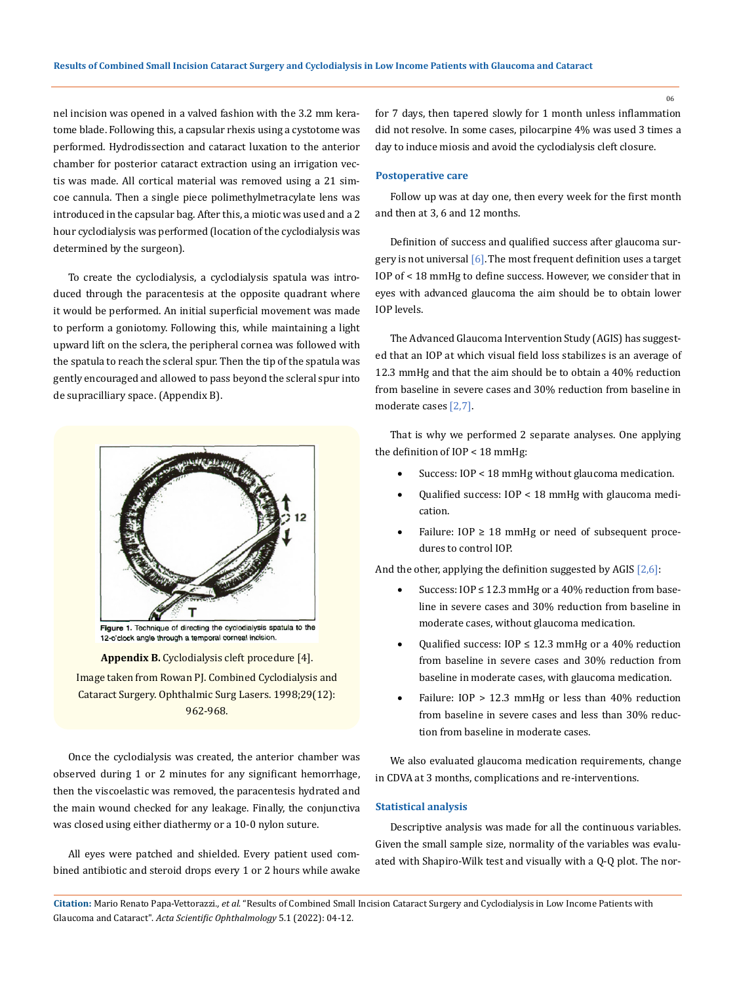nel incision was opened in a valved fashion with the 3.2 mm keratome blade. Following this, a capsular rhexis using a cystotome was performed. Hydrodissection and cataract luxation to the anterior chamber for posterior cataract extraction using an irrigation vectis was made. All cortical material was removed using a 21 simcoe cannula. Then a single piece polimethylmetracylate lens was introduced in the capsular bag. After this, a miotic was used and a 2 hour cyclodialysis was performed (location of the cyclodialysis was determined by the surgeon).

To create the cyclodialysis, a cyclodialysis spatula was introduced through the paracentesis at the opposite quadrant where it would be performed. An initial superficial movement was made to perform a goniotomy. Following this, while maintaining a light upward lift on the sclera, the peripheral cornea was followed with the spatula to reach the scleral spur. Then the tip of the spatula was gently encouraged and allowed to pass beyond the scleral spur into de supracilliary space. (Appendix B).



Figure 1. Technique of directing the cyclodialysis spatula to the 12-o'clock angle through a temporal corneal incision.

**Appendix B.** Cyclodialysis cleft procedure [4]. Image taken from Rowan PJ. Combined Cyclodialysis and Cataract Surgery. Ophthalmic Surg Lasers. 1998;29(12): 962-968.

Once the cyclodialysis was created, the anterior chamber was observed during 1 or 2 minutes for any significant hemorrhage, then the viscoelastic was removed, the paracentesis hydrated and the main wound checked for any leakage. Finally, the conjunctiva was closed using either diathermy or a 10-0 nylon suture.

All eyes were patched and shielded. Every patient used combined antibiotic and steroid drops every 1 or 2 hours while awake for 7 days, then tapered slowly for 1 month unless inflammation did not resolve. In some cases, pilocarpine 4% was used 3 times a day to induce miosis and avoid the cyclodialysis cleft closure.

#### **Postoperative care**

Follow up was at day one, then every week for the first month and then at 3, 6 and 12 months.

Definition of success and qualified success after glaucoma surgery is not universal  $[6]$ . The most frequent definition uses a target IOP of < 18 mmHg to define success. However, we consider that in eyes with advanced glaucoma the aim should be to obtain lower IOP levels.

The Advanced Glaucoma Intervention Study (AGIS) has suggested that an IOP at which visual field loss stabilizes is an average of 12.3 mmHg and that the aim should be to obtain a 40% reduction from baseline in severe cases and 30% reduction from baseline in moderate cases [2,7].

That is why we performed 2 separate analyses. One applying the definition of IOP < 18 mmHg:

- Success:  $IOP < 18$  mmHg without glaucoma medication.
- Qualified success:  $IOP < 18$  mmHg with glaucoma medication.
- Failure:  $IOP \geq 18$  mmHg or need of subsequent procedures to control IOP.

And the other, applying the definition suggested by AGIS  $[2,6]$ :

- Success:  $IOP \le 12.3$  mmHg or a 40% reduction from baseline in severe cases and 30% reduction from baseline in moderate cases, without glaucoma medication.
- Qualified success:  $IOP \leq 12.3$  mmHg or a 40% reduction from baseline in severe cases and 30% reduction from baseline in moderate cases, with glaucoma medication.
- Failure:  $IOP > 12.3$  mmHg or less than  $40\%$  reduction from baseline in severe cases and less than 30% reduction from baseline in moderate cases.

We also evaluated glaucoma medication requirements, change in CDVA at 3 months, complications and re-interventions.

## **Statistical analysis**

Descriptive analysis was made for all the continuous variables. Given the small sample size, normality of the variables was evaluated with Shapiro-Wilk test and visually with a Q-Q plot. The nor-

**Citation:** Mario Renato Papa-Vettorazzi*., et al.* "Results of Combined Small Incision Cataract Surgery and Cyclodialysis in Low Income Patients with Glaucoma and Cataract". *Acta Scientific Ophthalmology* 5.1 (2022): 04-12.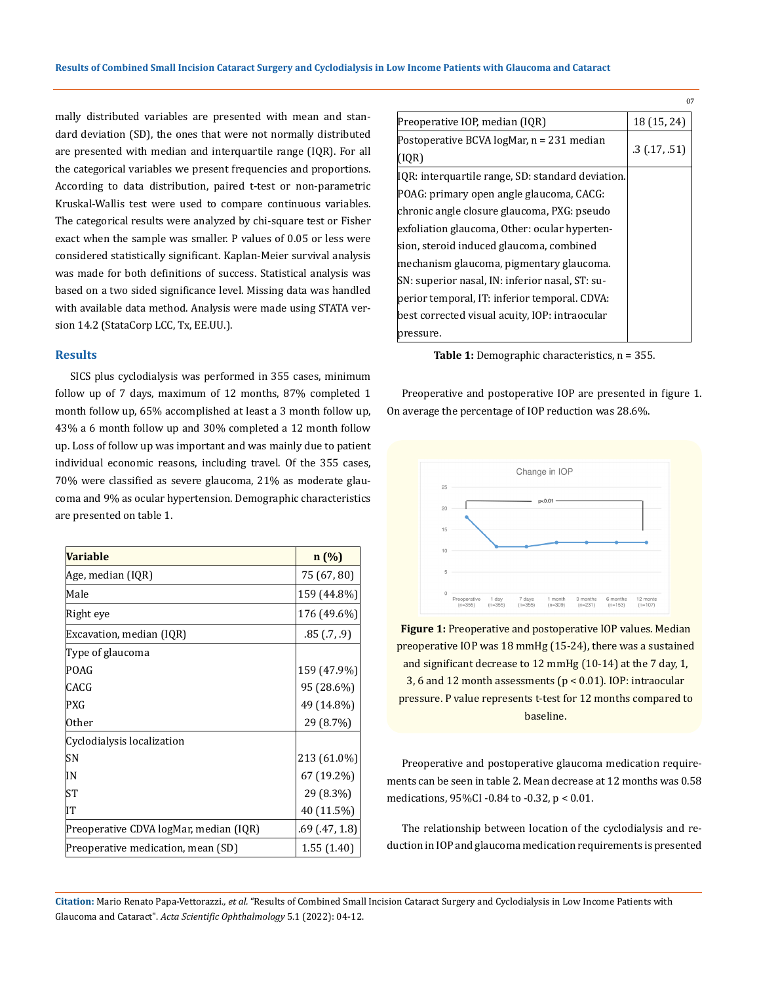mally distributed variables are presented with mean and standard deviation (SD), the ones that were not normally distributed are presented with median and interquartile range (IQR). For all the categorical variables we present frequencies and proportions. According to data distribution, paired t-test or non-parametric Kruskal-Wallis test were used to compare continuous variables. The categorical results were analyzed by chi-square test or Fisher exact when the sample was smaller. P values of 0.05 or less were considered statistically significant. Kaplan-Meier survival analysis was made for both definitions of success. Statistical analysis was based on a two sided significance level. Missing data was handled with available data method. Analysis were made using STATA version 14.2 (StataCorp LCC, Tx, EE.UU.).

# **Results**

SICS plus cyclodialysis was performed in 355 cases, minimum follow up of 7 days, maximum of 12 months, 87% completed 1 month follow up, 65% accomplished at least a 3 month follow up, 43% a 6 month follow up and 30% completed a 12 month follow up. Loss of follow up was important and was mainly due to patient individual economic reasons, including travel. Of the 355 cases, 70% were classified as severe glaucoma, 21% as moderate glaucoma and 9% as ocular hypertension. Demographic characteristics are presented on table 1.

| <b>Variable</b>                        | n(%)          |
|----------------------------------------|---------------|
| Age, median (IQR)                      | 75 (67, 80)   |
| Male                                   | 159 (44.8%)   |
| Right eye                              | 176 (49.6%)   |
| Excavation, median (IQR)               | .85(0.7, 0.9) |
| Type of glaucoma                       |               |
| POAG                                   | 159 (47.9%)   |
| CACG                                   | 95 (28.6%)    |
| PXG                                    | 49 (14.8%)    |
| Other                                  | 29 (8.7%)     |
| Cyclodialysis localization             |               |
| SΝ                                     | 213 (61.0%)   |
| ΙN                                     | 67 (19.2%)    |
| SТ                                     | 29 (8.3%)     |
| IT                                     | 40 (11.5%)    |
| Preoperative CDVA logMar, median (IQR) | .69(.47, 1.8) |
| Preoperative medication, mean (SD)     | 1.55(1.40)    |

|                                                   | U7            |
|---------------------------------------------------|---------------|
| Preoperative IOP, median (IQR)                    | 18 (15, 24)   |
| Postoperative BCVA logMar, n = 231 median         |               |
| (IQR)                                             | .3(0.17,0.51) |
| IQR: interquartile range, SD: standard deviation. |               |
| POAG: primary open angle glaucoma, CACG:          |               |
| chronic angle closure glaucoma, PXG: pseudo       |               |
| exfoliation glaucoma, Other: ocular hyperten-     |               |
| sion, steroid induced glaucoma, combined          |               |
| mechanism glaucoma, pigmentary glaucoma.          |               |
| SN: superior nasal, IN: inferior nasal, ST: su-   |               |
| perior temporal, IT: inferior temporal. CDVA:     |               |
| best corrected visual acuity, IOP: intraocular    |               |
| pressure.                                         |               |

**Table 1:** Demographic characteristics, n = 355.

Preoperative and postoperative IOP are presented in figure 1. On average the percentage of IOP reduction was 28.6%.



**Figure 1:** Preoperative and postoperative IOP values. Median preoperative IOP was 18 mmHg (15-24), there was a sustained and significant decrease to 12 mmHg (10-14) at the 7 day, 1, 3, 6 and 12 month assessments (p < 0.01). IOP: intraocular pressure. P value represents t-test for 12 months compared to baseline.

Preoperative and postoperative glaucoma medication requirements can be seen in table 2. Mean decrease at 12 months was 0.58 medications, 95%CI -0.84 to -0.32, p < 0.01.

The relationship between location of the cyclodialysis and reduction in IOP and glaucoma medication requirements is presented

**Citation:** Mario Renato Papa-Vettorazzi*., et al.* "Results of Combined Small Incision Cataract Surgery and Cyclodialysis in Low Income Patients with Glaucoma and Cataract". *Acta Scientific Ophthalmology* 5.1 (2022): 04-12.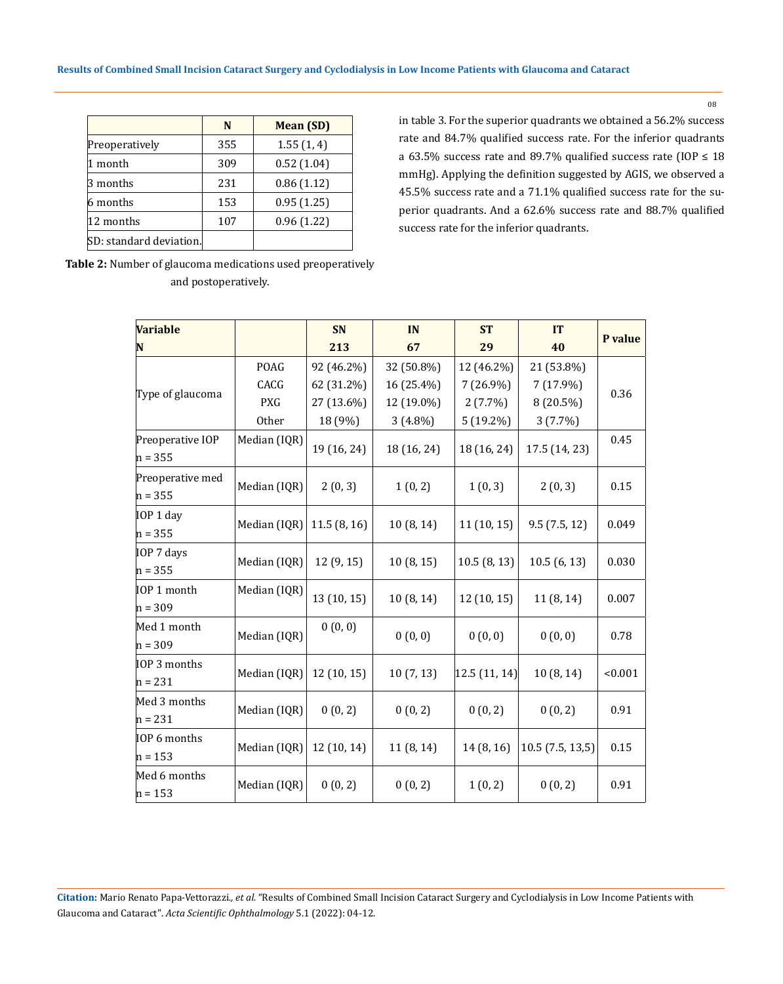|                         | N   | <b>Mean (SD)</b> |
|-------------------------|-----|------------------|
| Preoperatively          | 355 | 1.55(1, 4)       |
| 1 month                 | 309 | 0.52(1.04)       |
| 3 months                | 231 | 0.86(1.12)       |
| 6 months                | 153 | 0.95(1.25)       |
| 12 months               | 107 | 0.96(1.22)       |
| SD: standard deviation. |     |                  |

in table 3. For the superior quadrants we obtained a 56.2% success rate and 84.7% qualified success rate. For the inferior quadrants a 63.5% success rate and 89.7% qualified success rate (IOP  $\leq 18$ ) mmHg). Applying the definition suggested by AGIS, we observed a 45.5% success rate and a 71.1% qualified success rate for the superior quadrants. And a 62.6% success rate and 88.7% qualified success rate for the inferior quadrants.

| <b>Variable</b>               |              | <b>SN</b>   | IN          | <b>ST</b>    | <b>IT</b>          |         |
|-------------------------------|--------------|-------------|-------------|--------------|--------------------|---------|
| N                             |              | 213         | 67          | 29           | 40                 | P value |
|                               | POAG         | 92 (46.2%)  | 32 (50.8%)  | 12 (46.2%)   | 21 (53.8%)         |         |
|                               | CACG         | 62 (31.2%)  | 16 (25.4%)  | $7(26.9\%)$  | 7 (17.9%)          | 0.36    |
| Type of glaucoma              | <b>PXG</b>   | 27 (13.6%)  | 12 (19.0%)  | $2(7.7\%)$   | 8 (20.5%)          |         |
|                               | Other        | 18 (9%)     | $3(4.8\%)$  | 5 (19.2%)    | 3(7.7%)            |         |
| Preoperative IOP<br>$n = 355$ | Median (IQR) | 19 (16, 24) | 18 (16, 24) | 18 (16, 24)  | 17.5 (14, 23)      | 0.45    |
| Preoperative med<br>$n = 355$ | Median (IQR) | 2(0, 3)     | 1(0, 2)     | 1(0, 3)      | 2(0, 3)            | 0.15    |
| IOP 1 day<br>$n = 355$        | Median (IQR) | 11.5(8, 16) | 10(8, 14)   | 11(10, 15)   | 9.5(7.5, 12)       | 0.049   |
| IOP 7 days<br>$n = 355$       | Median (IQR) | 12 (9, 15)  | 10(8, 15)   | 10.5(8, 13)  | 10.5(6, 13)        | 0.030   |
| IOP 1 month<br>$n = 309$      | Median (IQR) | 13 (10, 15) | 10(8, 14)   | 12 (10, 15)  | 11 (8, 14)         | 0.007   |
| Med 1 month<br>$n = 309$      | Median (IQR) | 0(0, 0)     | 0(0, 0)     | 0(0, 0)      | 0(0, 0)            | 0.78    |
| IOP 3 months<br>$n = 231$     | Median (IQR) | 12(10, 15)  | 10(7, 13)   | 12.5(11, 14) | 10(8, 14)          | < 0.001 |
| Med 3 months<br>$n = 231$     | Median (IQR) | 0(0, 2)     | 0(0, 2)     | 0(0, 2)      | 0(0, 2)            | 0.91    |
| IOP 6 months<br>$n = 153$     | Median (IQR) | 12 (10, 14) | 11 (8, 14)  | 14 (8, 16)   | $10.5$ (7.5, 13,5) | 0.15    |
| Med 6 months<br>$n = 153$     | Median (IQR) | 0(0, 2)     | 0(0, 2)     | 1(0, 2)      | 0(0, 2)            | 0.91    |

**Table 2:** Number of glaucoma medications used preoperatively and postoperatively.

**Citation:** Mario Renato Papa-Vettorazzi*., et al.* "Results of Combined Small Incision Cataract Surgery and Cyclodialysis in Low Income Patients with Glaucoma and Cataract". *Acta Scientific Ophthalmology* 5.1 (2022): 04-12.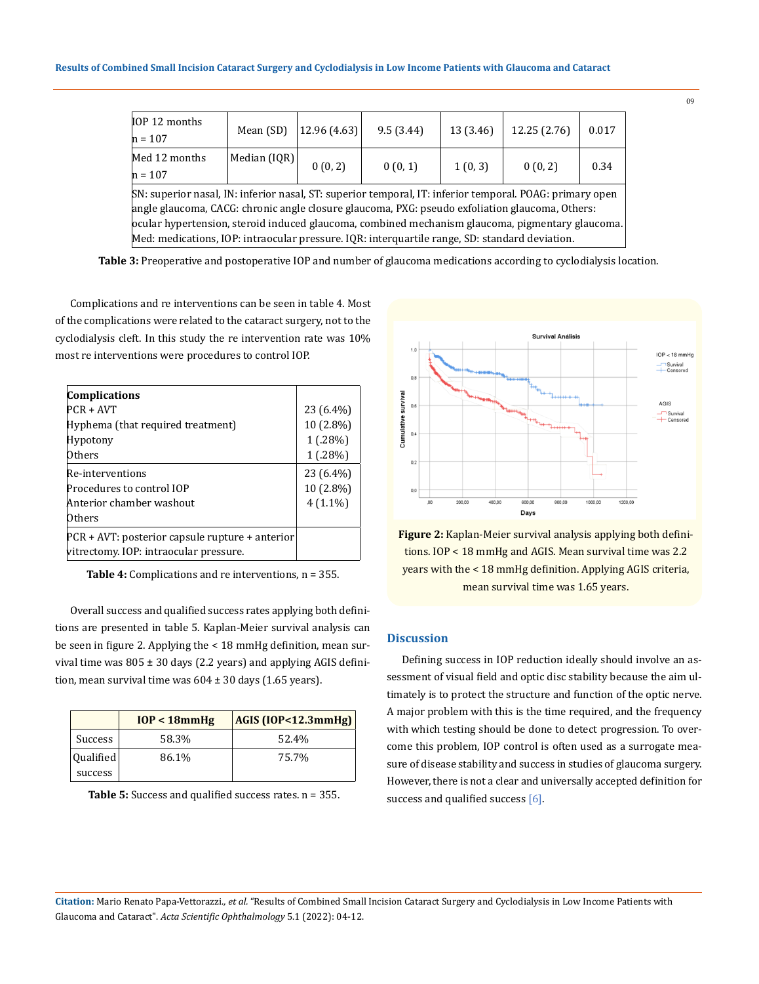| IOP 12 months<br>$h = 107$                                                                               | Mean (SD)      | 12.96 (4.63) | 9.5(3.44) | 13 (3.46) | 12.25 (2.76) | 0.017 |
|----------------------------------------------------------------------------------------------------------|----------------|--------------|-----------|-----------|--------------|-------|
| Med 12 months                                                                                            | Median $[IQR]$ |              |           |           |              |       |
| $h = 107$                                                                                                |                | 0(0, 2)      | 0(0,1)    | 1(0,3)    | 0(0, 2)      | 0.34  |
| SN: superior nasal, IN: inferior nasal, ST: superior temporal, IT: inferior temporal. POAG: primary open |                |              |           |           |              |       |
| angle glaucoma, CACG: chronic angle closure glaucoma, PXG: pseudo exfoliation glaucoma, Others:          |                |              |           |           |              |       |
| ocular hypertension, steroid induced glaucoma, combined mechanism glaucoma, pigmentary glaucoma.         |                |              |           |           |              |       |
| Med: medications, IOP: intraocular pressure. IQR: interquartile range, SD: standard deviation.           |                |              |           |           |              |       |

**Table 3:** Preoperative and postoperative IOP and number of glaucoma medications according to cyclodialysis location.

Complications and re interventions can be seen in table 4. Most of the complications were related to the cataract surgery, not to the cyclodialysis cleft. In this study the re intervention rate was 10% most re interventions were procedures to control IOP.

| <b>Complications</b>                            |            |
|-------------------------------------------------|------------|
| PCR + AVT                                       | 23 (6.4%)  |
| Hyphema (that required treatment)               | 10 (2.8%)  |
| Hypotony                                        | 1(.28%)    |
| Others                                          | 1(.28%)    |
| Re-interventions                                | 23 (6.4%)  |
| Procedures to control IOP                       | 10 (2.8%)  |
| Anterior chamber washout                        | $4(1.1\%)$ |
| Others                                          |            |
| PCR + AVT: posterior capsule rupture + anterior |            |
| vitrectomy. IOP: intraocular pressure.          |            |

**Table 4:** Complications and re interventions, n = 355.

Overall success and qualified success rates applying both definitions are presented in table 5. Kaplan-Meier survival analysis can be seen in figure 2. Applying the < 18 mmHg definition, mean survival time was  $805 \pm 30$  days (2.2 years) and applying AGIS definition, mean survival time was  $604 \pm 30$  days (1.65 years).

|                | $IOP < 18mm$ Hg | AGIS (IOP<12.3mmHg) |
|----------------|-----------------|---------------------|
| <b>Success</b> | 58.3%           | 52.4%               |
| Qualified      | 86.1%           | 75.7%               |
| success        |                 |                     |

**Table 5:** Success and qualified success rates. n = 355.



**Figure 2:** Kaplan-Meier survival analysis applying both definitions. IOP < 18 mmHg and AGIS. Mean survival time was 2.2 years with the < 18 mmHg definition. Applying AGIS criteria, mean survival time was 1.65 years.

## **Discussion**

Defining success in IOP reduction ideally should involve an assessment of visual field and optic disc stability because the aim ultimately is to protect the structure and function of the optic nerve. A major problem with this is the time required, and the frequency with which testing should be done to detect progression. To overcome this problem, IOP control is often used as a surrogate measure of disease stability and success in studies of glaucoma surgery. However, there is not a clear and universally accepted definition for success and qualified success [6].

**Citation:** Mario Renato Papa-Vettorazzi*., et al.* "Results of Combined Small Incision Cataract Surgery and Cyclodialysis in Low Income Patients with Glaucoma and Cataract". *Acta Scientific Ophthalmology* 5.1 (2022): 04-12.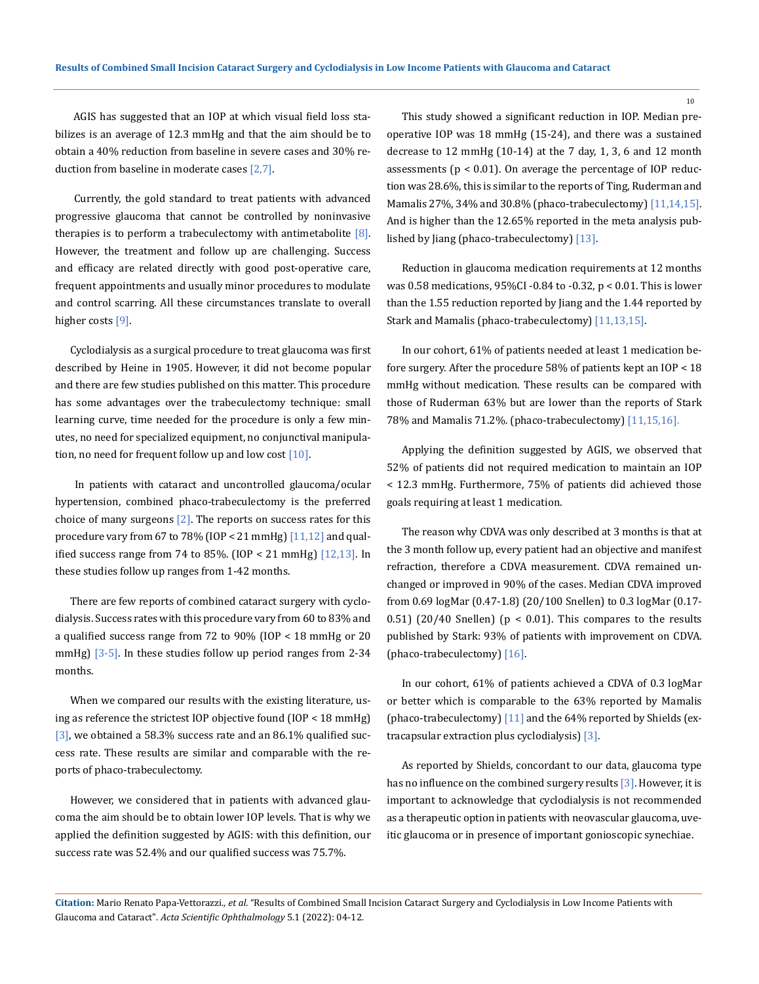AGIS has suggested that an IOP at which visual field loss stabilizes is an average of 12.3 mmHg and that the aim should be to obtain a 40% reduction from baseline in severe cases and 30% reduction from baseline in moderate cases [2,7].

 Currently, the gold standard to treat patients with advanced progressive glaucoma that cannot be controlled by noninvasive therapies is to perform a trabeculectomy with antimetabolite  $[8]$ . However, the treatment and follow up are challenging. Success and efficacy are related directly with good post-operative care, frequent appointments and usually minor procedures to modulate and control scarring. All these circumstances translate to overall higher costs [9].

Cyclodialysis as a surgical procedure to treat glaucoma was first described by Heine in 1905. However, it did not become popular and there are few studies published on this matter. This procedure has some advantages over the trabeculectomy technique: small learning curve, time needed for the procedure is only a few minutes, no need for specialized equipment, no conjunctival manipulation, no need for frequent follow up and low cost  $[10]$ .

 In patients with cataract and uncontrolled glaucoma/ocular hypertension, combined phaco-trabeculectomy is the preferred choice of many surgeons  $[2]$ . The reports on success rates for this procedure vary from 67 to 78% (IOP  $\lt 21$  mmHg) [11,12] and qualified success range from 74 to 85%.  $[10P < 21$  mmHg)  $[12, 13]$ . In these studies follow up ranges from 1-42 months.

There are few reports of combined cataract surgery with cyclodialysis. Success rates with this procedure vary from 60 to 83% and a qualified success range from 72 to 90% (IOP < 18 mmHg or 20 mmHg)  $\left[3-5\right]$ . In these studies follow up period ranges from 2-34 months.

When we compared our results with the existing literature, using as reference the strictest IOP objective found (IOP < 18 mmHg) [3], we obtained a 58.3% success rate and an 86.1% qualified success rate. These results are similar and comparable with the reports of phaco-trabeculectomy.

However, we considered that in patients with advanced glaucoma the aim should be to obtain lower IOP levels. That is why we applied the definition suggested by AGIS: with this definition, our success rate was 52.4% and our qualified success was 75.7%.

This study showed a significant reduction in IOP. Median preoperative IOP was 18 mmHg (15-24), and there was a sustained decrease to 12 mmHg (10-14) at the 7 day, 1, 3, 6 and 12 month assessments ( $p < 0.01$ ). On average the percentage of IOP reduction was 28.6%, this is similar to the reports of Ting, Ruderman and Mamalis 27%, 34% and 30.8% (phaco-trabeculectomy) [11,14,15]. And is higher than the 12.65% reported in the meta analysis published by Jiang (phaco-trabeculectomy) [13].

Reduction in glaucoma medication requirements at 12 months was 0.58 medications, 95%CI -0.84 to -0.32, p < 0.01. This is lower than the 1.55 reduction reported by Jiang and the 1.44 reported by Stark and Mamalis (phaco-trabeculectomy) [11,13,15].

In our cohort, 61% of patients needed at least 1 medication before surgery. After the procedure 58% of patients kept an IOP < 18 mmHg without medication. These results can be compared with those of Ruderman 63% but are lower than the reports of Stark 78% and Mamalis 71.2%. (phaco-trabeculectomy) [11,15,16].

Applying the definition suggested by AGIS, we observed that 52% of patients did not required medication to maintain an IOP < 12.3 mmHg. Furthermore, 75% of patients did achieved those goals requiring at least 1 medication.

The reason why CDVA was only described at 3 months is that at the 3 month follow up, every patient had an objective and manifest refraction, therefore a CDVA measurement. CDVA remained unchanged or improved in 90% of the cases. Median CDVA improved from 0.69 logMar (0.47-1.8) (20/100 Snellen) to 0.3 logMar (0.17- 0.51) (20/40 Snellen) ( $p < 0.01$ ). This compares to the results published by Stark: 93% of patients with improvement on CDVA. (phaco-trabeculectomy) [16].

In our cohort, 61% of patients achieved a CDVA of 0.3 logMar or better which is comparable to the 63% reported by Mamalis (phaco-trabeculectomy) [11] and the 64% reported by Shields (extracapsular extraction plus cyclodialysis) [3].

As reported by Shields, concordant to our data, glaucoma type has no influence on the combined surgery results [3]. However, it is important to acknowledge that cyclodialysis is not recommended as a therapeutic option in patients with neovascular glaucoma, uveitic glaucoma or in presence of important gonioscopic synechiae.

**Citation:** Mario Renato Papa-Vettorazzi*., et al.* "Results of Combined Small Incision Cataract Surgery and Cyclodialysis in Low Income Patients with Glaucoma and Cataract". *Acta Scientific Ophthalmology* 5.1 (2022): 04-12.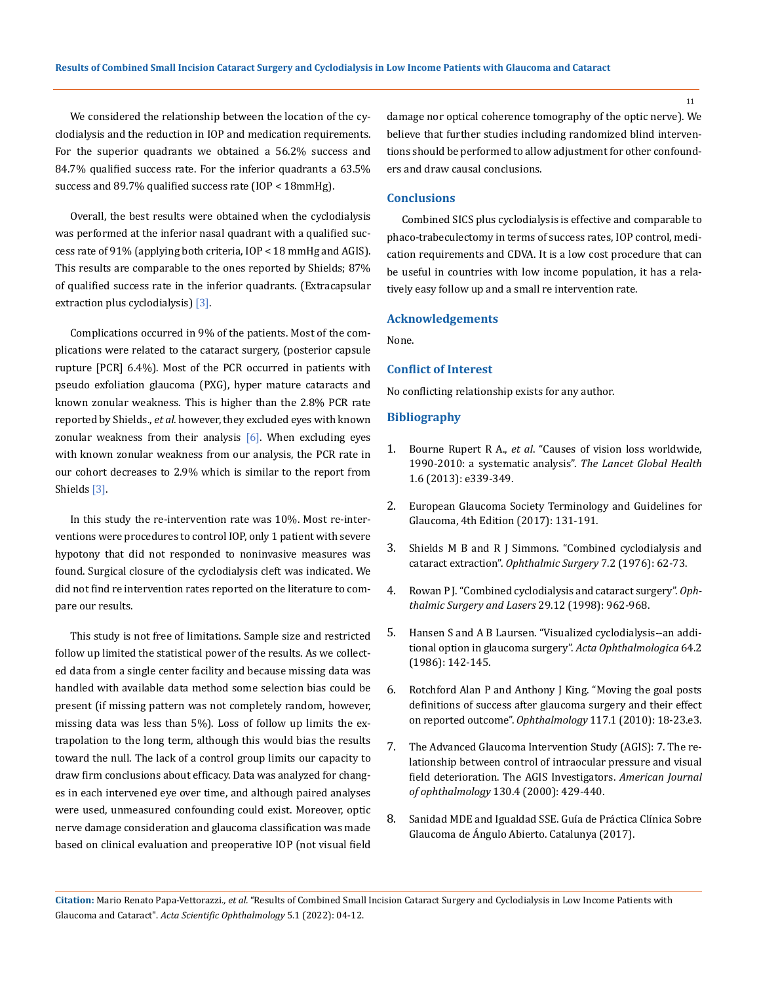We considered the relationship between the location of the cyclodialysis and the reduction in IOP and medication requirements. For the superior quadrants we obtained a 56.2% success and 84.7% qualified success rate. For the inferior quadrants a 63.5% success and 89.7% qualified success rate (IOP < 18mmHg).

Overall, the best results were obtained when the cyclodialysis was performed at the inferior nasal quadrant with a qualified success rate of 91% (applying both criteria, IOP < 18 mmHg and AGIS). This results are comparable to the ones reported by Shields; 87% of qualified success rate in the inferior quadrants. (Extracapsular extraction plus cyclodialysis) [3].

Complications occurred in 9% of the patients. Most of the complications were related to the cataract surgery, (posterior capsule rupture [PCR] 6.4%). Most of the PCR occurred in patients with pseudo exfoliation glaucoma (PXG), hyper mature cataracts and known zonular weakness. This is higher than the 2.8% PCR rate reported by Shields., *et al.* however, they excluded eyes with known zonular weakness from their analysis  $[6]$ . When excluding eyes with known zonular weakness from our analysis, the PCR rate in our cohort decreases to 2.9% which is similar to the report from Shields [3].

In this study the re-intervention rate was 10%. Most re-interventions were procedures to control IOP, only 1 patient with severe hypotony that did not responded to noninvasive measures was found. Surgical closure of the cyclodialysis cleft was indicated. We did not find re intervention rates reported on the literature to compare our results.

This study is not free of limitations. Sample size and restricted follow up limited the statistical power of the results. As we collected data from a single center facility and because missing data was handled with available data method some selection bias could be present (if missing pattern was not completely random, however, missing data was less than 5%). Loss of follow up limits the extrapolation to the long term, although this would bias the results toward the null. The lack of a control group limits our capacity to draw firm conclusions about efficacy. Data was analyzed for changes in each intervened eye over time, and although paired analyses were used, unmeasured confounding could exist. Moreover, optic nerve damage consideration and glaucoma classification was made based on clinical evaluation and preoperative IOP (not visual field damage nor optical coherence tomography of the optic nerve). We believe that further studies including randomized blind interventions should be performed to allow adjustment for other confounders and draw causal conclusions.

## **Conclusions**

Combined SICS plus cyclodialysis is effective and comparable to phaco-trabeculectomy in terms of success rates, IOP control, medication requirements and CDVA. It is a low cost procedure that can be useful in countries with low income population, it has a relatively easy follow up and a small re intervention rate.

## **Acknowledgements**

None.

## **Conflict of Interest**

No conflicting relationship exists for any author.

#### **Bibliography**

- 1. Bourne Rupert R A., *et al*[. "Causes of vision loss worldwide,](https://pubmed.ncbi.nlm.nih.gov/25104599/)  [1990-2010: a systematic analysis".](https://pubmed.ncbi.nlm.nih.gov/25104599/) *The Lancet Global Health* [1.6 \(2013\): e339-349.](https://pubmed.ncbi.nlm.nih.gov/25104599/)
- 2. European Glaucoma Society Terminology and Guidelines for Glaucoma, 4th Edition (2017): 131-191.
- 3. [Shields M B and R J Simmons. "Combined cyclodialysis and](https://pubmed.ncbi.nlm.nih.gov/934602/)  cataract extraction". *[Ophthalmic Surgery](https://pubmed.ncbi.nlm.nih.gov/934602/)* 7.2 (1976): 62-73.
- 4. Rowan P J. "Combined cyclodialysis and cataract surgery". *Ophthalmic Surgery and Lasers* 29.12 (1998): 962-968.
- 5. [Hansen S and A B Laursen. "Visualized cyclodialysis--an addi](https://pubmed.ncbi.nlm.nih.gov/3727951/)[tional option in glaucoma surgery".](https://pubmed.ncbi.nlm.nih.gov/3727951/) *Acta Ophthalmologica* 64.2 [\(1986\): 142-145.](https://pubmed.ncbi.nlm.nih.gov/3727951/)
- 6. [Rotchford Alan P and Anthony J King. "Moving the goal posts](https://www.sciencedirect.com/science/article/abs/pii/S0161642009006423)  [definitions of success after glaucoma surgery and their effect](https://www.sciencedirect.com/science/article/abs/pii/S0161642009006423)  on reported outcome". *Ophthalmology* [117.1 \(2010\): 18-23.e3.](https://www.sciencedirect.com/science/article/abs/pii/S0161642009006423)
- 7. [The Advanced Glaucoma Intervention Study \(AGIS\): 7. The re](https://pubmed.ncbi.nlm.nih.gov/11024415/)[lationship between control of intraocular pressure and visual](https://pubmed.ncbi.nlm.nih.gov/11024415/)  [field deterioration. The AGIS Investigators.](https://pubmed.ncbi.nlm.nih.gov/11024415/) *American Journal of ophthalmology* [130.4 \(2000\): 429-440.](https://pubmed.ncbi.nlm.nih.gov/11024415/)
- 8. Sanidad MDE and Igualdad SSE. Guía de Práctica Clínica Sobre Glaucoma de Ángulo Abierto. Catalunya (2017).

**Citation:** Mario Renato Papa-Vettorazzi*., et al.* "Results of Combined Small Incision Cataract Surgery and Cyclodialysis in Low Income Patients with Glaucoma and Cataract". *Acta Scientific Ophthalmology* 5.1 (2022): 04-12.